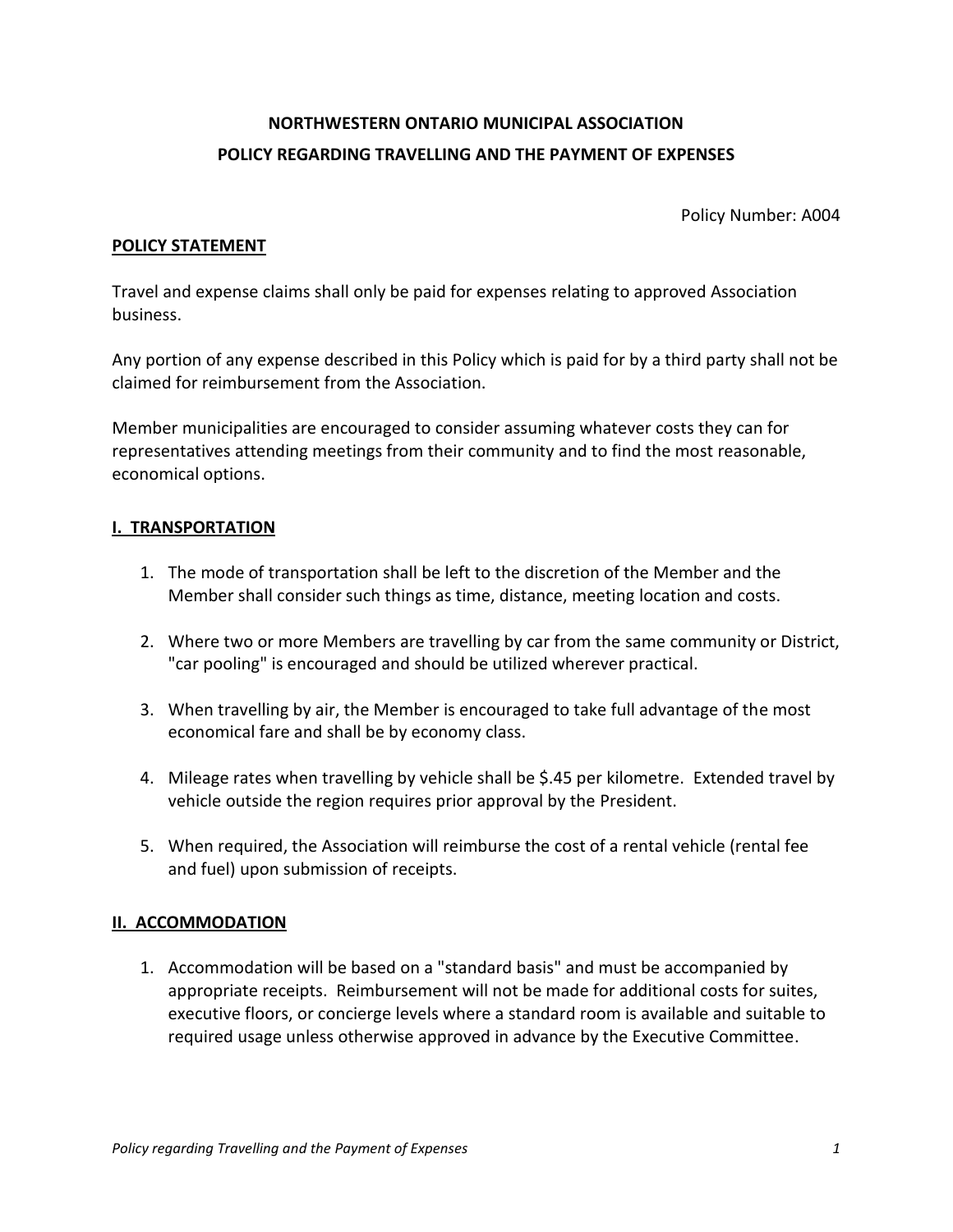# **NORTHWESTERN ONTARIO MUNICIPAL ASSOCIATION POLICY REGARDING TRAVELLING AND THE PAYMENT OF EXPENSES**

Policy Number: A004

#### **POLICY STATEMENT**

Travel and expense claims shall only be paid for expenses relating to approved Association business.

Any portion of any expense described in this Policy which is paid for by a third party shall not be claimed for reimbursement from the Association.

Member municipalities are encouraged to consider assuming whatever costs they can for representatives attending meetings from their community and to find the most reasonable, economical options.

#### **I. TRANSPORTATION**

- 1. The mode of transportation shall be left to the discretion of the Member and the Member shall consider such things as time, distance, meeting location and costs.
- 2. Where two or more Members are travelling by car from the same community or District, "car pooling" is encouraged and should be utilized wherever practical.
- 3. When travelling by air, the Member is encouraged to take full advantage of the most economical fare and shall be by economy class.
- 4. Mileage rates when travelling by vehicle shall be \$.45 per kilometre. Extended travel by vehicle outside the region requires prior approval by the President.
- 5. When required, the Association will reimburse the cost of a rental vehicle (rental fee and fuel) upon submission of receipts.

#### **II. ACCOMMODATION**

1. Accommodation will be based on a "standard basis" and must be accompanied by appropriate receipts. Reimbursement will not be made for additional costs for suites, executive floors, or concierge levels where a standard room is available and suitable to required usage unless otherwise approved in advance by the Executive Committee.